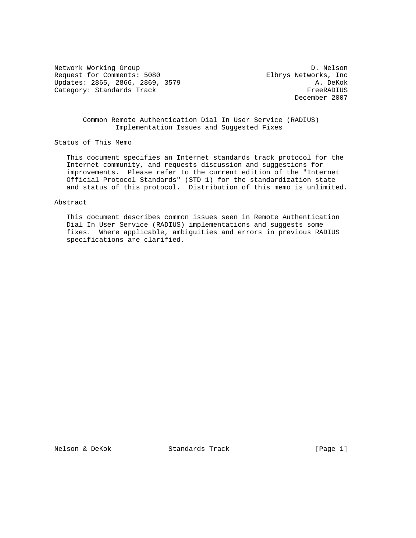Network Working Group Description of the U.S. Nelson D. Nelson Request for Comments: 5080 Elbrys Networks, Inc Updates: 2865, 2866, 2869, 3579<br>Category: Standards Track (attenually and attenual preed attenually and attenual Category: Standards Track

December 2007

 Common Remote Authentication Dial In User Service (RADIUS) Implementation Issues and Suggested Fixes

Status of This Memo

 This document specifies an Internet standards track protocol for the Internet community, and requests discussion and suggestions for improvements. Please refer to the current edition of the "Internet Official Protocol Standards" (STD 1) for the standardization state and status of this protocol. Distribution of this memo is unlimited.

Abstract

 This document describes common issues seen in Remote Authentication Dial In User Service (RADIUS) implementations and suggests some fixes. Where applicable, ambiguities and errors in previous RADIUS specifications are clarified.

Nelson & DeKok Standards Track [Page 1]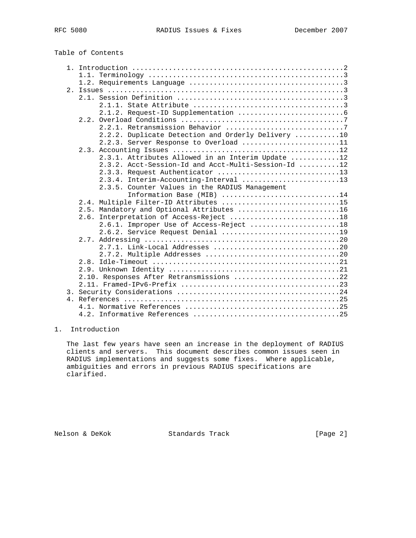# Table of Contents

| 2.2.2. Duplicate Detection and Orderly Delivery 10  |  |
|-----------------------------------------------------|--|
| 2.2.3. Server Response to Overload 11               |  |
|                                                     |  |
| 2.3.1. Attributes Allowed in an Interim Update 12   |  |
| 2.3.2. Acct-Session-Id and Acct-Multi-Session-Id 12 |  |
| 2.3.3. Request Authenticator 13                     |  |
| 2.3.4. Interim-Accounting-Interval 13               |  |
| 2.3.5. Counter Values in the RADIUS Management      |  |
| Information Base (MIB) 14                           |  |
| 2.4. Multiple Filter-ID Attributes 15               |  |
| 2.5. Mandatory and Optional Attributes 16           |  |
| 2.6. Interpretation of Access-Reject 18             |  |
| 2.6.1. Improper Use of Access-Reject 18             |  |
| 2.6.2. Service Request Denial 19                    |  |
|                                                     |  |
|                                                     |  |
|                                                     |  |
|                                                     |  |
|                                                     |  |
| 2.10. Responses After Retransmissions 22            |  |
|                                                     |  |
|                                                     |  |
|                                                     |  |
|                                                     |  |
|                                                     |  |

# 1. Introduction

 The last few years have seen an increase in the deployment of RADIUS clients and servers. This document describes common issues seen in RADIUS implementations and suggests some fixes. Where applicable, ambiguities and errors in previous RADIUS specifications are clarified.

Nelson & DeKok Standards Track [Page 2]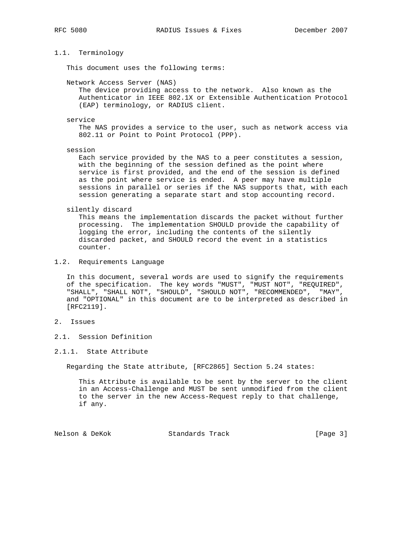# 1.1. Terminology

This document uses the following terms:

Network Access Server (NAS)

 The device providing access to the network. Also known as the Authenticator in IEEE 802.1X or Extensible Authentication Protocol (EAP) terminology, or RADIUS client.

#### service

 The NAS provides a service to the user, such as network access via 802.11 or Point to Point Protocol (PPP).

session

 Each service provided by the NAS to a peer constitutes a session, with the beginning of the session defined as the point where service is first provided, and the end of the session is defined as the point where service is ended. A peer may have multiple sessions in parallel or series if the NAS supports that, with each session generating a separate start and stop accounting record.

silently discard

 This means the implementation discards the packet without further processing. The implementation SHOULD provide the capability of logging the error, including the contents of the silently discarded packet, and SHOULD record the event in a statistics counter.

1.2. Requirements Language

 In this document, several words are used to signify the requirements of the specification. The key words "MUST", "MUST NOT", "REQUIRED", "SHALL", "SHALL NOT", "SHOULD", "SHOULD NOT", "RECOMMENDED", "MAY", and "OPTIONAL" in this document are to be interpreted as described in [RFC2119].

# 2. Issues

2.1. Session Definition

2.1.1. State Attribute

Regarding the State attribute, [RFC2865] Section 5.24 states:

 This Attribute is available to be sent by the server to the client in an Access-Challenge and MUST be sent unmodified from the client to the server in the new Access-Request reply to that challenge, if any.

Nelson & DeKok Standards Track [Page 3]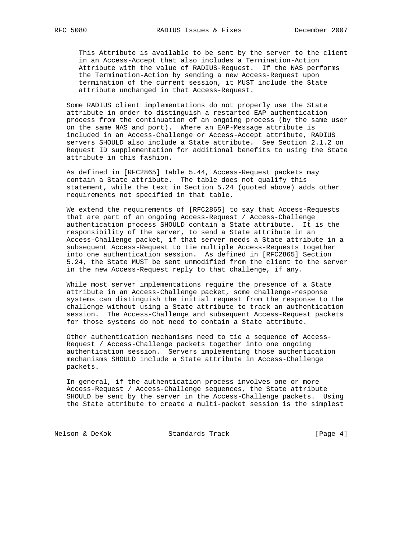This Attribute is available to be sent by the server to the client in an Access-Accept that also includes a Termination-Action Attribute with the value of RADIUS-Request. If the NAS performs the Termination-Action by sending a new Access-Request upon termination of the current session, it MUST include the State attribute unchanged in that Access-Request.

 Some RADIUS client implementations do not properly use the State attribute in order to distinguish a restarted EAP authentication process from the continuation of an ongoing process (by the same user on the same NAS and port). Where an EAP-Message attribute is included in an Access-Challenge or Access-Accept attribute, RADIUS servers SHOULD also include a State attribute. See Section 2.1.2 on Request ID supplementation for additional benefits to using the State attribute in this fashion.

 As defined in [RFC2865] Table 5.44, Access-Request packets may contain a State attribute. The table does not qualify this statement, while the text in Section 5.24 (quoted above) adds other requirements not specified in that table.

 We extend the requirements of [RFC2865] to say that Access-Requests that are part of an ongoing Access-Request / Access-Challenge authentication process SHOULD contain a State attribute. It is the responsibility of the server, to send a State attribute in an Access-Challenge packet, if that server needs a State attribute in a subsequent Access-Request to tie multiple Access-Requests together into one authentication session. As defined in [RFC2865] Section 5.24, the State MUST be sent unmodified from the client to the server in the new Access-Request reply to that challenge, if any.

 While most server implementations require the presence of a State attribute in an Access-Challenge packet, some challenge-response systems can distinguish the initial request from the response to the challenge without using a State attribute to track an authentication session. The Access-Challenge and subsequent Access-Request packets for those systems do not need to contain a State attribute.

 Other authentication mechanisms need to tie a sequence of Access- Request / Access-Challenge packets together into one ongoing authentication session. Servers implementing those authentication mechanisms SHOULD include a State attribute in Access-Challenge packets.

 In general, if the authentication process involves one or more Access-Request / Access-Challenge sequences, the State attribute SHOULD be sent by the server in the Access-Challenge packets. Using the State attribute to create a multi-packet session is the simplest

Nelson & DeKok Standards Track [Page 4]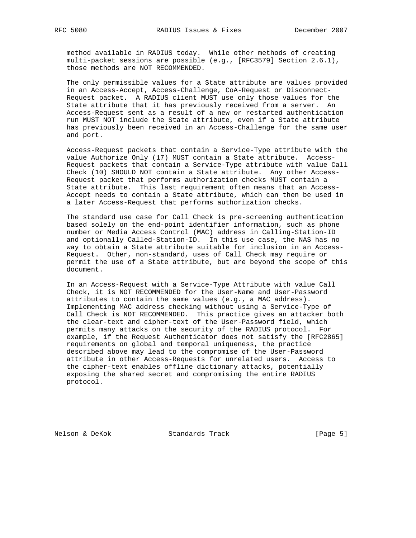method available in RADIUS today. While other methods of creating multi-packet sessions are possible (e.g., [RFC3579] Section 2.6.1), those methods are NOT RECOMMENDED.

 The only permissible values for a State attribute are values provided in an Access-Accept, Access-Challenge, CoA-Request or Disconnect- Request packet. A RADIUS client MUST use only those values for the State attribute that it has previously received from a server. An Access-Request sent as a result of a new or restarted authentication run MUST NOT include the State attribute, even if a State attribute has previously been received in an Access-Challenge for the same user and port.

 Access-Request packets that contain a Service-Type attribute with the value Authorize Only (17) MUST contain a State attribute. Access- Request packets that contain a Service-Type attribute with value Call Check (10) SHOULD NOT contain a State attribute. Any other Access- Request packet that performs authorization checks MUST contain a State attribute. This last requirement often means that an Access- Accept needs to contain a State attribute, which can then be used in a later Access-Request that performs authorization checks.

 The standard use case for Call Check is pre-screening authentication based solely on the end-point identifier information, such as phone number or Media Access Control (MAC) address in Calling-Station-ID and optionally Called-Station-ID. In this use case, the NAS has no way to obtain a State attribute suitable for inclusion in an Access- Request. Other, non-standard, uses of Call Check may require or permit the use of a State attribute, but are beyond the scope of this document.

 In an Access-Request with a Service-Type Attribute with value Call Check, it is NOT RECOMMENDED for the User-Name and User-Password attributes to contain the same values (e.g., a MAC address). Implementing MAC address checking without using a Service-Type of Call Check is NOT RECOMMENDED. This practice gives an attacker both the clear-text and cipher-text of the User-Password field, which permits many attacks on the security of the RADIUS protocol. For example, if the Request Authenticator does not satisfy the [RFC2865] requirements on global and temporal uniqueness, the practice described above may lead to the compromise of the User-Password attribute in other Access-Requests for unrelated users. Access to the cipher-text enables offline dictionary attacks, potentially exposing the shared secret and compromising the entire RADIUS protocol.

Nelson & DeKok Standards Track [Page 5]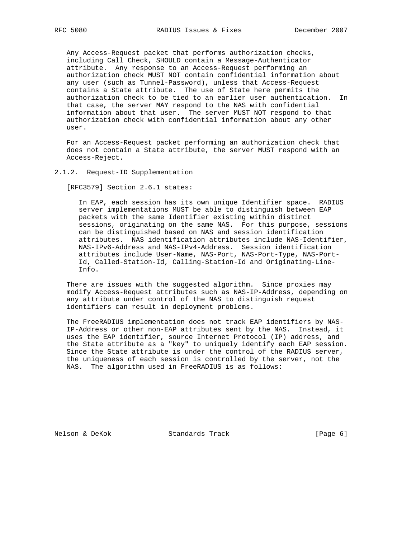Any Access-Request packet that performs authorization checks, including Call Check, SHOULD contain a Message-Authenticator attribute. Any response to an Access-Request performing an authorization check MUST NOT contain confidential information about any user (such as Tunnel-Password), unless that Access-Request contains a State attribute. The use of State here permits the authorization check to be tied to an earlier user authentication. In that case, the server MAY respond to the NAS with confidential information about that user. The server MUST NOT respond to that authorization check with confidential information about any other user.

 For an Access-Request packet performing an authorization check that does not contain a State attribute, the server MUST respond with an Access-Reject.

# 2.1.2. Request-ID Supplementation

[RFC3579] Section 2.6.1 states:

 In EAP, each session has its own unique Identifier space. RADIUS server implementations MUST be able to distinguish between EAP packets with the same Identifier existing within distinct sessions, originating on the same NAS. For this purpose, sessions can be distinguished based on NAS and session identification attributes. NAS identification attributes include NAS-Identifier, NAS-IPv6-Address and NAS-IPv4-Address. Session identification attributes include User-Name, NAS-Port, NAS-Port-Type, NAS-Port- Id, Called-Station-Id, Calling-Station-Id and Originating-Line- Info.

 There are issues with the suggested algorithm. Since proxies may modify Access-Request attributes such as NAS-IP-Address, depending on any attribute under control of the NAS to distinguish request identifiers can result in deployment problems.

 The FreeRADIUS implementation does not track EAP identifiers by NAS- IP-Address or other non-EAP attributes sent by the NAS. Instead, it uses the EAP identifier, source Internet Protocol (IP) address, and the State attribute as a "key" to uniquely identify each EAP session. Since the State attribute is under the control of the RADIUS server, the uniqueness of each session is controlled by the server, not the NAS. The algorithm used in FreeRADIUS is as follows:

Nelson & DeKok Standards Track [Page 6]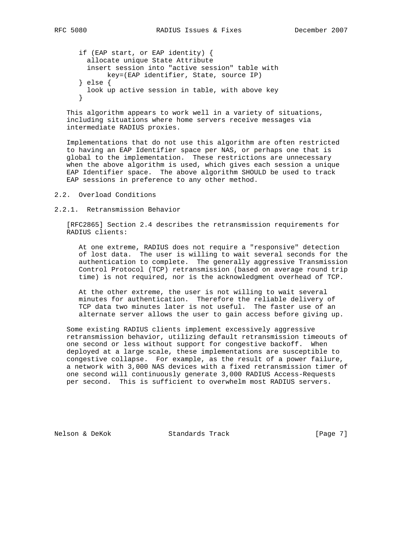if (EAP start, or EAP identity) { allocate unique State Attribute insert session into "active session" table with key=(EAP identifier, State, source IP) } else { look up active session in table, with above key }

 This algorithm appears to work well in a variety of situations, including situations where home servers receive messages via intermediate RADIUS proxies.

 Implementations that do not use this algorithm are often restricted to having an EAP Identifier space per NAS, or perhaps one that is global to the implementation. These restrictions are unnecessary when the above algorithm is used, which gives each session a unique EAP Identifier space. The above algorithm SHOULD be used to track EAP sessions in preference to any other method.

- 2.2. Overload Conditions
- 2.2.1. Retransmission Behavior

 [RFC2865] Section 2.4 describes the retransmission requirements for RADIUS clients:

 At one extreme, RADIUS does not require a "responsive" detection of lost data. The user is willing to wait several seconds for the authentication to complete. The generally aggressive Transmission Control Protocol (TCP) retransmission (based on average round trip time) is not required, nor is the acknowledgment overhead of TCP.

 At the other extreme, the user is not willing to wait several minutes for authentication. Therefore the reliable delivery of TCP data two minutes later is not useful. The faster use of an alternate server allows the user to gain access before giving up.

 Some existing RADIUS clients implement excessively aggressive retransmission behavior, utilizing default retransmission timeouts of one second or less without support for congestive backoff. When deployed at a large scale, these implementations are susceptible to congestive collapse. For example, as the result of a power failure, a network with 3,000 NAS devices with a fixed retransmission timer of one second will continuously generate 3,000 RADIUS Access-Requests per second. This is sufficient to overwhelm most RADIUS servers.

Nelson & DeKok Standards Track [Page 7]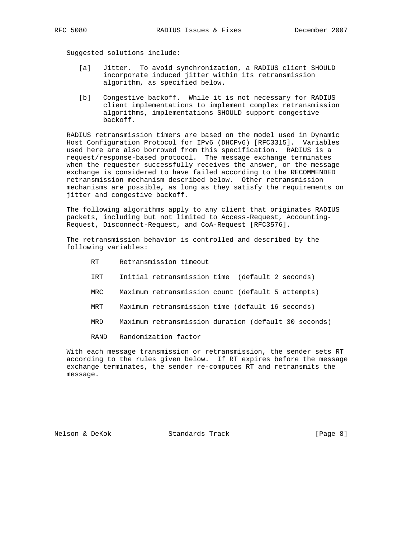Suggested solutions include:

- [a] Jitter. To avoid synchronization, a RADIUS client SHOULD incorporate induced jitter within its retransmission algorithm, as specified below.
- [b] Congestive backoff. While it is not necessary for RADIUS client implementations to implement complex retransmission algorithms, implementations SHOULD support congestive backoff.

 RADIUS retransmission timers are based on the model used in Dynamic Host Configuration Protocol for IPv6 (DHCPv6) [RFC3315]. Variables used here are also borrowed from this specification. RADIUS is a request/response-based protocol. The message exchange terminates when the requester successfully receives the answer, or the message exchange is considered to have failed according to the RECOMMENDED retransmission mechanism described below. Other retransmission mechanisms are possible, as long as they satisfy the requirements on jitter and congestive backoff.

 The following algorithms apply to any client that originates RADIUS packets, including but not limited to Access-Request, Accounting- Request, Disconnect-Request, and CoA-Request [RFC3576].

 The retransmission behavior is controlled and described by the following variables:

- RT Retransmission timeout
- IRT Initial retransmission time (default 2 seconds)
- MRC Maximum retransmission count (default 5 attempts)
- MRT Maximum retransmission time (default 16 seconds)
- MRD Maximum retransmission duration (default 30 seconds)
- RAND Randomization factor

 With each message transmission or retransmission, the sender sets RT according to the rules given below. If RT expires before the message exchange terminates, the sender re-computes RT and retransmits the message.

Nelson & DeKok Standards Track [Page 8]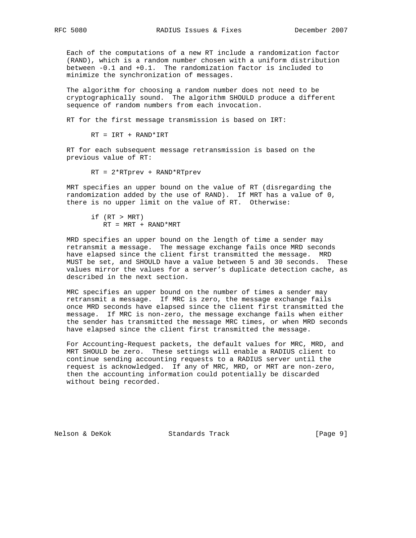Each of the computations of a new RT include a randomization factor (RAND), which is a random number chosen with a uniform distribution between -0.1 and +0.1. The randomization factor is included to minimize the synchronization of messages.

 The algorithm for choosing a random number does not need to be cryptographically sound. The algorithm SHOULD produce a different sequence of random numbers from each invocation.

RT for the first message transmission is based on IRT:

RT = IRT + RAND\*IRT

 RT for each subsequent message retransmission is based on the previous value of RT:

RT = 2\*RTprev + RAND\*RTprev

 MRT specifies an upper bound on the value of RT (disregarding the randomization added by the use of RAND). If MRT has a value of 0, there is no upper limit on the value of RT. Otherwise:

 if (RT > MRT)  $RT = MRT + RAND*MRT$ 

 MRD specifies an upper bound on the length of time a sender may retransmit a message. The message exchange fails once MRD seconds have elapsed since the client first transmitted the message. MRD MUST be set, and SHOULD have a value between 5 and 30 seconds. These values mirror the values for a server's duplicate detection cache, as described in the next section.

 MRC specifies an upper bound on the number of times a sender may retransmit a message. If MRC is zero, the message exchange fails once MRD seconds have elapsed since the client first transmitted the message. If MRC is non-zero, the message exchange fails when either the sender has transmitted the message MRC times, or when MRD seconds have elapsed since the client first transmitted the message.

 For Accounting-Request packets, the default values for MRC, MRD, and MRT SHOULD be zero. These settings will enable a RADIUS client to continue sending accounting requests to a RADIUS server until the request is acknowledged. If any of MRC, MRD, or MRT are non-zero, then the accounting information could potentially be discarded without being recorded.

Nelson & DeKok Standards Track [Page 9]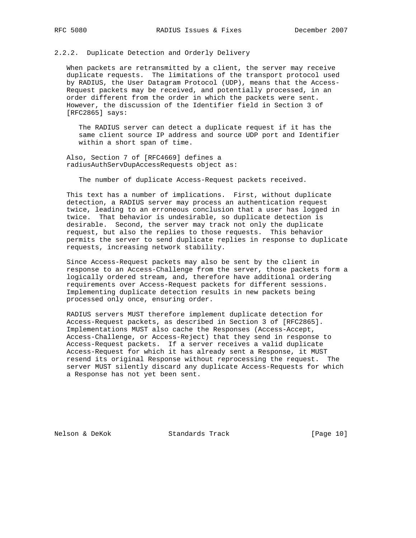# 2.2.2. Duplicate Detection and Orderly Delivery

 When packets are retransmitted by a client, the server may receive duplicate requests. The limitations of the transport protocol used by RADIUS, the User Datagram Protocol (UDP), means that the Access- Request packets may be received, and potentially processed, in an order different from the order in which the packets were sent. However, the discussion of the Identifier field in Section 3 of [RFC2865] says:

 The RADIUS server can detect a duplicate request if it has the same client source IP address and source UDP port and Identifier within a short span of time.

 Also, Section 7 of [RFC4669] defines a radiusAuthServDupAccessRequests object as:

The number of duplicate Access-Request packets received.

 This text has a number of implications. First, without duplicate detection, a RADIUS server may process an authentication request twice, leading to an erroneous conclusion that a user has logged in twice. That behavior is undesirable, so duplicate detection is desirable. Second, the server may track not only the duplicate request, but also the replies to those requests. This behavior permits the server to send duplicate replies in response to duplicate requests, increasing network stability.

 Since Access-Request packets may also be sent by the client in response to an Access-Challenge from the server, those packets form a logically ordered stream, and, therefore have additional ordering requirements over Access-Request packets for different sessions. Implementing duplicate detection results in new packets being processed only once, ensuring order.

 RADIUS servers MUST therefore implement duplicate detection for Access-Request packets, as described in Section 3 of [RFC2865]. Implementations MUST also cache the Responses (Access-Accept, Access-Challenge, or Access-Reject) that they send in response to Access-Request packets. If a server receives a valid duplicate Access-Request for which it has already sent a Response, it MUST resend its original Response without reprocessing the request. The server MUST silently discard any duplicate Access-Requests for which a Response has not yet been sent.

Nelson & DeKok Standards Track [Page 10]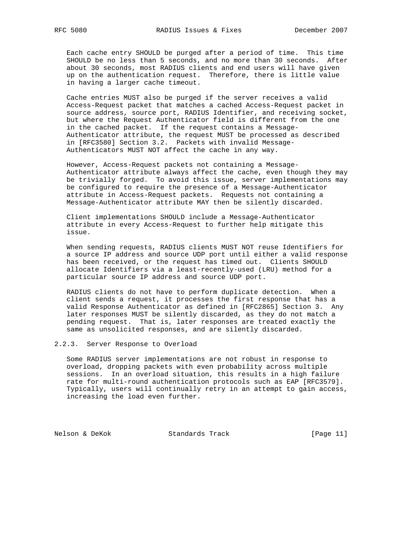Each cache entry SHOULD be purged after a period of time. This time SHOULD be no less than 5 seconds, and no more than 30 seconds. After about 30 seconds, most RADIUS clients and end users will have given up on the authentication request. Therefore, there is little value in having a larger cache timeout.

 Cache entries MUST also be purged if the server receives a valid Access-Request packet that matches a cached Access-Request packet in source address, source port, RADIUS Identifier, and receiving socket, but where the Request Authenticator field is different from the one in the cached packet. If the request contains a Message- Authenticator attribute, the request MUST be processed as described in [RFC3580] Section 3.2. Packets with invalid Message- Authenticators MUST NOT affect the cache in any way.

 However, Access-Request packets not containing a Message- Authenticator attribute always affect the cache, even though they may be trivially forged. To avoid this issue, server implementations may be configured to require the presence of a Message-Authenticator attribute in Access-Request packets. Requests not containing a Message-Authenticator attribute MAY then be silently discarded.

 Client implementations SHOULD include a Message-Authenticator attribute in every Access-Request to further help mitigate this issue.

 When sending requests, RADIUS clients MUST NOT reuse Identifiers for a source IP address and source UDP port until either a valid response has been received, or the request has timed out. Clients SHOULD allocate Identifiers via a least-recently-used (LRU) method for a particular source IP address and source UDP port.

 RADIUS clients do not have to perform duplicate detection. When a client sends a request, it processes the first response that has a valid Response Authenticator as defined in [RFC2865] Section 3. Any later responses MUST be silently discarded, as they do not match a pending request. That is, later responses are treated exactly the same as unsolicited responses, and are silently discarded.

2.2.3. Server Response to Overload

 Some RADIUS server implementations are not robust in response to overload, dropping packets with even probability across multiple sessions. In an overload situation, this results in a high failure rate for multi-round authentication protocols such as EAP [RFC3579]. Typically, users will continually retry in an attempt to gain access, increasing the load even further.

Nelson & DeKok Standards Track [Page 11]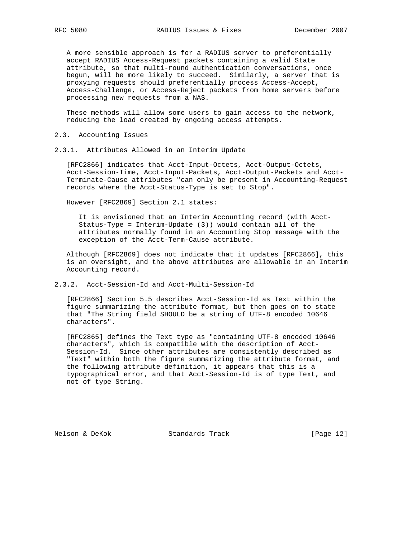A more sensible approach is for a RADIUS server to preferentially accept RADIUS Access-Request packets containing a valid State attribute, so that multi-round authentication conversations, once begun, will be more likely to succeed. Similarly, a server that is proxying requests should preferentially process Access-Accept, Access-Challenge, or Access-Reject packets from home servers before processing new requests from a NAS.

 These methods will allow some users to gain access to the network, reducing the load created by ongoing access attempts.

- 2.3. Accounting Issues
- 2.3.1. Attributes Allowed in an Interim Update

 [RFC2866] indicates that Acct-Input-Octets, Acct-Output-Octets, Acct-Session-Time, Acct-Input-Packets, Acct-Output-Packets and Acct- Terminate-Cause attributes "can only be present in Accounting-Request records where the Acct-Status-Type is set to Stop".

However [RFC2869] Section 2.1 states:

 It is envisioned that an Interim Accounting record (with Acct- Status-Type = Interim-Update (3)) would contain all of the attributes normally found in an Accounting Stop message with the exception of the Acct-Term-Cause attribute.

 Although [RFC2869] does not indicate that it updates [RFC2866], this is an oversight, and the above attributes are allowable in an Interim Accounting record.

2.3.2. Acct-Session-Id and Acct-Multi-Session-Id

 [RFC2866] Section 5.5 describes Acct-Session-Id as Text within the figure summarizing the attribute format, but then goes on to state that "The String field SHOULD be a string of UTF-8 encoded 10646 characters".

 [RFC2865] defines the Text type as "containing UTF-8 encoded 10646 characters", which is compatible with the description of Acct- Session-Id. Since other attributes are consistently described as "Text" within both the figure summarizing the attribute format, and the following attribute definition, it appears that this is a typographical error, and that Acct-Session-Id is of type Text, and not of type String.

Nelson & DeKok Standards Track [Page 12]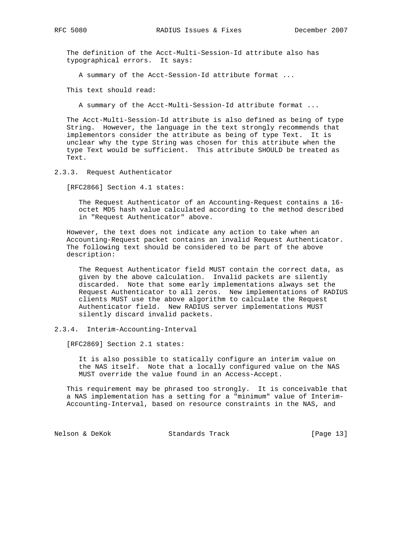The definition of the Acct-Multi-Session-Id attribute also has typographical errors. It says:

A summary of the Acct-Session-Id attribute format ...

This text should read:

A summary of the Acct-Multi-Session-Id attribute format ...

 The Acct-Multi-Session-Id attribute is also defined as being of type String. However, the language in the text strongly recommends that implementors consider the attribute as being of type Text. It is unclear why the type String was chosen for this attribute when the type Text would be sufficient. This attribute SHOULD be treated as Text.

2.3.3. Request Authenticator

[RFC2866] Section 4.1 states:

 The Request Authenticator of an Accounting-Request contains a 16 octet MD5 hash value calculated according to the method described in "Request Authenticator" above.

 However, the text does not indicate any action to take when an Accounting-Request packet contains an invalid Request Authenticator. The following text should be considered to be part of the above description:

 The Request Authenticator field MUST contain the correct data, as given by the above calculation. Invalid packets are silently discarded. Note that some early implementations always set the Request Authenticator to all zeros. New implementations of RADIUS clients MUST use the above algorithm to calculate the Request Authenticator field. New RADIUS server implementations MUST silently discard invalid packets.

#### 2.3.4. Interim-Accounting-Interval

[RFC2869] Section 2.1 states:

 It is also possible to statically configure an interim value on the NAS itself. Note that a locally configured value on the NAS MUST override the value found in an Access-Accept.

 This requirement may be phrased too strongly. It is conceivable that a NAS implementation has a setting for a "minimum" value of Interim- Accounting-Interval, based on resource constraints in the NAS, and

Nelson & DeKok Standards Track [Page 13]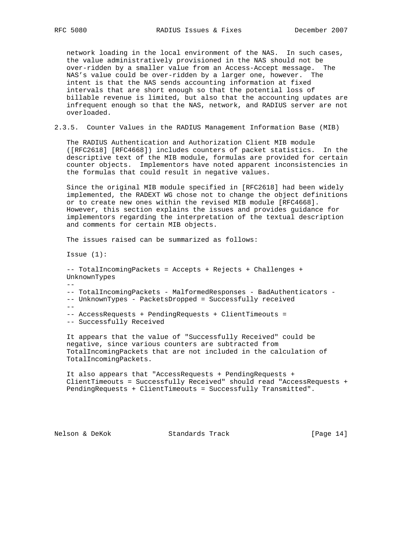network loading in the local environment of the NAS. In such cases, the value administratively provisioned in the NAS should not be over-ridden by a smaller value from an Access-Accept message. The NAS's value could be over-ridden by a larger one, however. The intent is that the NAS sends accounting information at fixed intervals that are short enough so that the potential loss of billable revenue is limited, but also that the accounting updates are infrequent enough so that the NAS, network, and RADIUS server are not overloaded.

2.3.5. Counter Values in the RADIUS Management Information Base (MIB)

 The RADIUS Authentication and Authorization Client MIB module ([RFC2618] [RFC4668]) includes counters of packet statistics. In the descriptive text of the MIB module, formulas are provided for certain counter objects. Implementors have noted apparent inconsistencies in the formulas that could result in negative values.

 Since the original MIB module specified in [RFC2618] had been widely implemented, the RADEXT WG chose not to change the object definitions or to create new ones within the revised MIB module [RFC4668]. However, this section explains the issues and provides guidance for implementors regarding the interpretation of the textual description and comments for certain MIB objects.

The issues raised can be summarized as follows:

Issue (1):

 -- TotalIncomingPackets = Accepts + Rejects + Challenges + UnknownTypes -- -- TotalIncomingPackets - MalformedResponses - BadAuthenticators - -- UnknownTypes - PacketsDropped = Successfully received -- -- AccessRequests + PendingRequests + ClientTimeouts = -- Successfully Received

 It appears that the value of "Successfully Received" could be negative, since various counters are subtracted from TotalIncomingPackets that are not included in the calculation of TotalIncomingPackets.

 It also appears that "AccessRequests + PendingRequests + ClientTimeouts = Successfully Received" should read "AccessRequests + PendingRequests + ClientTimeouts = Successfully Transmitted".

Nelson & DeKok Standards Track [Page 14]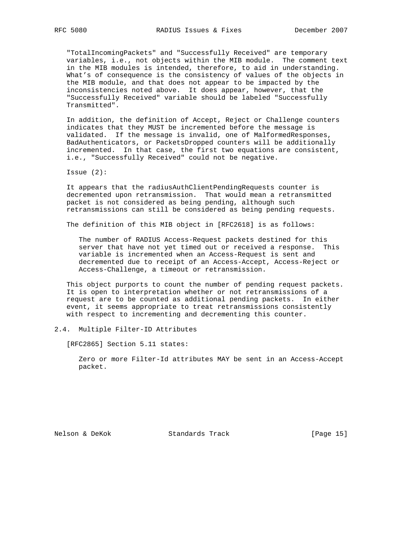"TotalIncomingPackets" and "Successfully Received" are temporary variables, i.e., not objects within the MIB module. The comment text in the MIB modules is intended, therefore, to aid in understanding. What's of consequence is the consistency of values of the objects in the MIB module, and that does not appear to be impacted by the inconsistencies noted above. It does appear, however, that the "Successfully Received" variable should be labeled "Successfully Transmitted".

 In addition, the definition of Accept, Reject or Challenge counters indicates that they MUST be incremented before the message is validated. If the message is invalid, one of MalformedResponses, BadAuthenticators, or PacketsDropped counters will be additionally incremented. In that case, the first two equations are consistent, i.e., "Successfully Received" could not be negative.

Issue (2):

 It appears that the radiusAuthClientPendingRequests counter is decremented upon retransmission. That would mean a retransmitted packet is not considered as being pending, although such retransmissions can still be considered as being pending requests.

The definition of this MIB object in [RFC2618] is as follows:

 The number of RADIUS Access-Request packets destined for this server that have not yet timed out or received a response. This variable is incremented when an Access-Request is sent and decremented due to receipt of an Access-Accept, Access-Reject or Access-Challenge, a timeout or retransmission.

 This object purports to count the number of pending request packets. It is open to interpretation whether or not retransmissions of a request are to be counted as additional pending packets. In either event, it seems appropriate to treat retransmissions consistently with respect to incrementing and decrementing this counter.

#### 2.4. Multiple Filter-ID Attributes

[RFC2865] Section 5.11 states:

 Zero or more Filter-Id attributes MAY be sent in an Access-Accept packet.

Nelson & DeKok Standards Track [Page 15]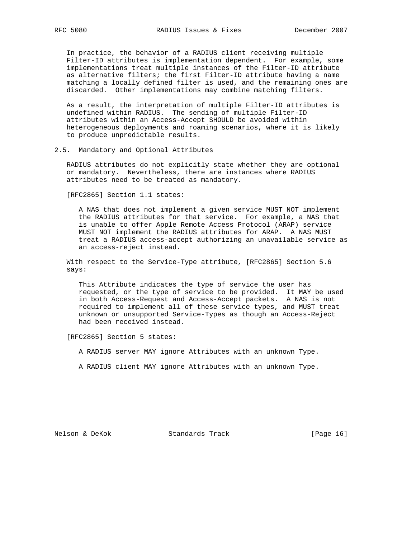In practice, the behavior of a RADIUS client receiving multiple Filter-ID attributes is implementation dependent. For example, some implementations treat multiple instances of the Filter-ID attribute as alternative filters; the first Filter-ID attribute having a name matching a locally defined filter is used, and the remaining ones are discarded. Other implementations may combine matching filters.

 As a result, the interpretation of multiple Filter-ID attributes is undefined within RADIUS. The sending of multiple Filter-ID attributes within an Access-Accept SHOULD be avoided within heterogeneous deployments and roaming scenarios, where it is likely to produce unpredictable results.

# 2.5. Mandatory and Optional Attributes

 RADIUS attributes do not explicitly state whether they are optional or mandatory. Nevertheless, there are instances where RADIUS attributes need to be treated as mandatory.

[RFC2865] Section 1.1 states:

 A NAS that does not implement a given service MUST NOT implement the RADIUS attributes for that service. For example, a NAS that is unable to offer Apple Remote Access Protocol (ARAP) service MUST NOT implement the RADIUS attributes for ARAP. A NAS MUST treat a RADIUS access-accept authorizing an unavailable service as an access-reject instead.

 With respect to the Service-Type attribute, [RFC2865] Section 5.6 says:

 This Attribute indicates the type of service the user has requested, or the type of service to be provided. It MAY be used in both Access-Request and Access-Accept packets. A NAS is not required to implement all of these service types, and MUST treat unknown or unsupported Service-Types as though an Access-Reject had been received instead.

[RFC2865] Section 5 states:

A RADIUS server MAY ignore Attributes with an unknown Type.

A RADIUS client MAY ignore Attributes with an unknown Type.

Nelson & DeKok Standards Track [Page 16]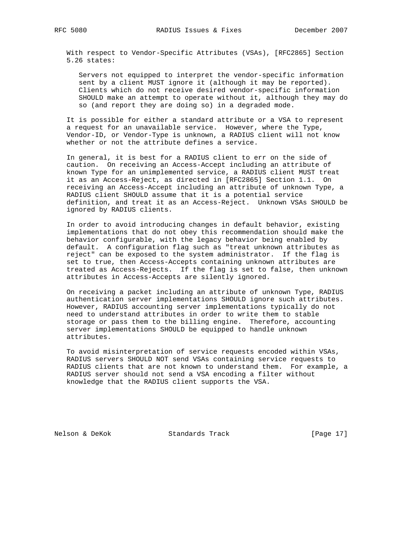With respect to Vendor-Specific Attributes (VSAs), [RFC2865] Section 5.26 states:

 Servers not equipped to interpret the vendor-specific information sent by a client MUST ignore it (although it may be reported). Clients which do not receive desired vendor-specific information SHOULD make an attempt to operate without it, although they may do so (and report they are doing so) in a degraded mode.

 It is possible for either a standard attribute or a VSA to represent a request for an unavailable service. However, where the Type, Vendor-ID, or Vendor-Type is unknown, a RADIUS client will not know whether or not the attribute defines a service.

 In general, it is best for a RADIUS client to err on the side of caution. On receiving an Access-Accept including an attribute of known Type for an unimplemented service, a RADIUS client MUST treat it as an Access-Reject, as directed in [RFC2865] Section 1.1. On receiving an Access-Accept including an attribute of unknown Type, a RADIUS client SHOULD assume that it is a potential service definition, and treat it as an Access-Reject. Unknown VSAs SHOULD be ignored by RADIUS clients.

 In order to avoid introducing changes in default behavior, existing implementations that do not obey this recommendation should make the behavior configurable, with the legacy behavior being enabled by default. A configuration flag such as "treat unknown attributes as reject" can be exposed to the system administrator. If the flag is set to true, then Access-Accepts containing unknown attributes are treated as Access-Rejects. If the flag is set to false, then unknown attributes in Access-Accepts are silently ignored.

 On receiving a packet including an attribute of unknown Type, RADIUS authentication server implementations SHOULD ignore such attributes. However, RADIUS accounting server implementations typically do not need to understand attributes in order to write them to stable storage or pass them to the billing engine. Therefore, accounting server implementations SHOULD be equipped to handle unknown attributes.

 To avoid misinterpretation of service requests encoded within VSAs, RADIUS servers SHOULD NOT send VSAs containing service requests to RADIUS clients that are not known to understand them. For example, a RADIUS server should not send a VSA encoding a filter without knowledge that the RADIUS client supports the VSA.

Nelson & DeKok Standards Track [Page 17]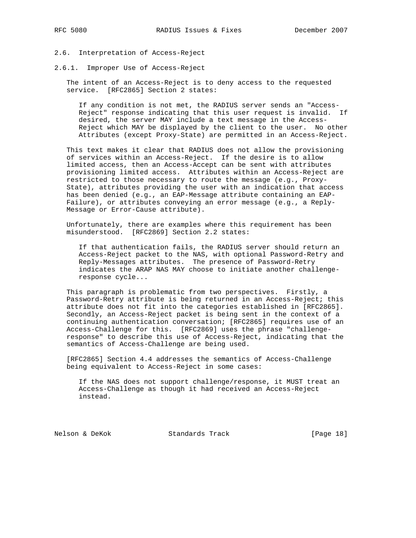#### 2.6. Interpretation of Access-Reject

2.6.1. Improper Use of Access-Reject

 The intent of an Access-Reject is to deny access to the requested service. [RFC2865] Section 2 states:

 If any condition is not met, the RADIUS server sends an "Access- Reject" response indicating that this user request is invalid. If desired, the server MAY include a text message in the Access- Reject which MAY be displayed by the client to the user. No other Attributes (except Proxy-State) are permitted in an Access-Reject.

 This text makes it clear that RADIUS does not allow the provisioning of services within an Access-Reject. If the desire is to allow limited access, then an Access-Accept can be sent with attributes provisioning limited access. Attributes within an Access-Reject are restricted to those necessary to route the message (e.g., Proxy- State), attributes providing the user with an indication that access has been denied (e.g., an EAP-Message attribute containing an EAP- Failure), or attributes conveying an error message (e.g., a Reply- Message or Error-Cause attribute).

 Unfortunately, there are examples where this requirement has been misunderstood. [RFC2869] Section 2.2 states:

 If that authentication fails, the RADIUS server should return an Access-Reject packet to the NAS, with optional Password-Retry and Reply-Messages attributes. The presence of Password-Retry indicates the ARAP NAS MAY choose to initiate another challenge response cycle...

 This paragraph is problematic from two perspectives. Firstly, a Password-Retry attribute is being returned in an Access-Reject; this attribute does not fit into the categories established in [RFC2865]. Secondly, an Access-Reject packet is being sent in the context of a continuing authentication conversation; [RFC2865] requires use of an Access-Challenge for this. [RFC2869] uses the phrase "challenge response" to describe this use of Access-Reject, indicating that the semantics of Access-Challenge are being used.

 [RFC2865] Section 4.4 addresses the semantics of Access-Challenge being equivalent to Access-Reject in some cases:

 If the NAS does not support challenge/response, it MUST treat an Access-Challenge as though it had received an Access-Reject instead.

Nelson & DeKok Standards Track [Page 18]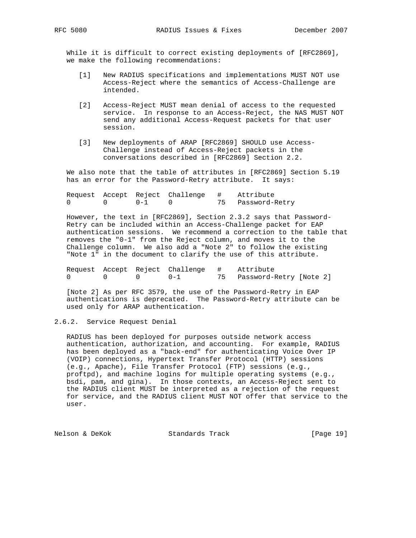While it is difficult to correct existing deployments of [RFC2869], we make the following recommendations:

- [1] New RADIUS specifications and implementations MUST NOT use Access-Reject where the semantics of Access-Challenge are intended.
- [2] Access-Reject MUST mean denial of access to the requested service. In response to an Access-Reject, the NAS MUST NOT send any additional Access-Request packets for that user session.
- [3] New deployments of ARAP [RFC2869] SHOULD use Access- Challenge instead of Access-Reject packets in the conversations described in [RFC2869] Section 2.2.

 We also note that the table of attributes in [RFC2869] Section 5.19 has an error for the Password-Retry attribute. It says:

 Request Accept Reject Challenge # Attribute 0 0 0-1 0 75 Password-Retry

 However, the text in [RFC2869], Section 2.3.2 says that Password- Retry can be included within an Access-Challenge packet for EAP authentication sessions. We recommend a correction to the table that removes the "0-1" from the Reject column, and moves it to the Challenge column. We also add a "Note 2" to follow the existing "Note 1" in the document to clarify the use of this attribute.

 Request Accept Reject Challenge # Attribute 0 0 0 0-1 75 Password-Retry [Note 2]

 [Note 2] As per RFC 3579, the use of the Password-Retry in EAP authentications is deprecated. The Password-Retry attribute can be used only for ARAP authentication.

2.6.2. Service Request Denial

 RADIUS has been deployed for purposes outside network access authentication, authorization, and accounting. For example, RADIUS has been deployed as a "back-end" for authenticating Voice Over IP (VOIP) connections, Hypertext Transfer Protocol (HTTP) sessions (e.g., Apache), File Transfer Protocol (FTP) sessions (e.g., proftpd), and machine logins for multiple operating systems (e.g., bsdi, pam, and gina). In those contexts, an Access-Reject sent to the RADIUS client MUST be interpreted as a rejection of the request for service, and the RADIUS client MUST NOT offer that service to the user.

Nelson & DeKok Standards Track [Page 19]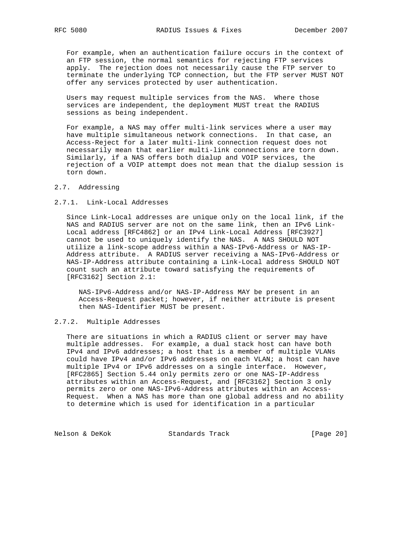For example, when an authentication failure occurs in the context of an FTP session, the normal semantics for rejecting FTP services apply. The rejection does not necessarily cause the FTP server to terminate the underlying TCP connection, but the FTP server MUST NOT offer any services protected by user authentication.

 Users may request multiple services from the NAS. Where those services are independent, the deployment MUST treat the RADIUS sessions as being independent.

 For example, a NAS may offer multi-link services where a user may have multiple simultaneous network connections. In that case, an Access-Reject for a later multi-link connection request does not necessarily mean that earlier multi-link connections are torn down. Similarly, if a NAS offers both dialup and VOIP services, the rejection of a VOIP attempt does not mean that the dialup session is torn down.

# 2.7. Addressing

# 2.7.1. Link-Local Addresses

 Since Link-Local addresses are unique only on the local link, if the NAS and RADIUS server are not on the same link, then an IPv6 Link- Local address [RFC4862] or an IPv4 Link-Local Address [RFC3927] cannot be used to uniquely identify the NAS. A NAS SHOULD NOT utilize a link-scope address within a NAS-IPv6-Address or NAS-IP- Address attribute. A RADIUS server receiving a NAS-IPv6-Address or NAS-IP-Address attribute containing a Link-Local address SHOULD NOT count such an attribute toward satisfying the requirements of [RFC3162] Section 2.1:

 NAS-IPv6-Address and/or NAS-IP-Address MAY be present in an Access-Request packet; however, if neither attribute is present then NAS-Identifier MUST be present.

# 2.7.2. Multiple Addresses

 There are situations in which a RADIUS client or server may have multiple addresses. For example, a dual stack host can have both IPv4 and IPv6 addresses; a host that is a member of multiple VLANs could have IPv4 and/or IPv6 addresses on each VLAN; a host can have multiple IPv4 or IPv6 addresses on a single interface. However, [RFC2865] Section 5.44 only permits zero or one NAS-IP-Address attributes within an Access-Request, and [RFC3162] Section 3 only permits zero or one NAS-IPv6-Address attributes within an Access- Request. When a NAS has more than one global address and no ability to determine which is used for identification in a particular

Nelson & DeKok Standards Track [Page 20]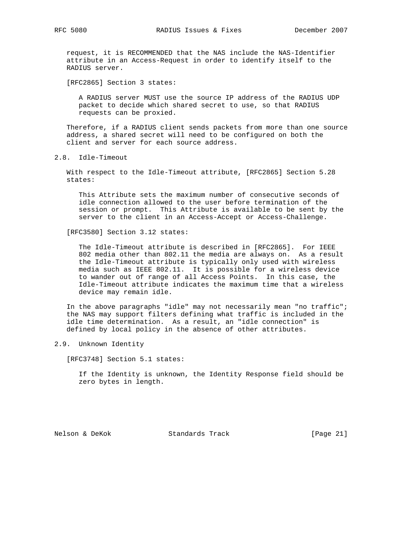request, it is RECOMMENDED that the NAS include the NAS-Identifier attribute in an Access-Request in order to identify itself to the RADIUS server.

[RFC2865] Section 3 states:

 A RADIUS server MUST use the source IP address of the RADIUS UDP packet to decide which shared secret to use, so that RADIUS requests can be proxied.

 Therefore, if a RADIUS client sends packets from more than one source address, a shared secret will need to be configured on both the client and server for each source address.

2.8. Idle-Timeout

 With respect to the Idle-Timeout attribute, [RFC2865] Section 5.28 states:

 This Attribute sets the maximum number of consecutive seconds of idle connection allowed to the user before termination of the session or prompt. This Attribute is available to be sent by the server to the client in an Access-Accept or Access-Challenge.

[RFC3580] Section 3.12 states:

 The Idle-Timeout attribute is described in [RFC2865]. For IEEE 802 media other than 802.11 the media are always on. As a result the Idle-Timeout attribute is typically only used with wireless media such as IEEE 802.11. It is possible for a wireless device to wander out of range of all Access Points. In this case, the Idle-Timeout attribute indicates the maximum time that a wireless device may remain idle.

 In the above paragraphs "idle" may not necessarily mean "no traffic"; the NAS may support filters defining what traffic is included in the idle time determination. As a result, an "idle connection" is defined by local policy in the absence of other attributes.

2.9. Unknown Identity

[RFC3748] Section 5.1 states:

 If the Identity is unknown, the Identity Response field should be zero bytes in length.

Nelson & DeKok Standards Track [Page 21]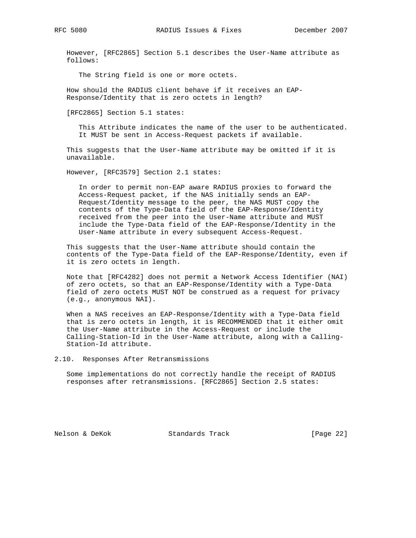However, [RFC2865] Section 5.1 describes the User-Name attribute as follows:

The String field is one or more octets.

 How should the RADIUS client behave if it receives an EAP- Response/Identity that is zero octets in length?

[RFC2865] Section 5.1 states:

 This Attribute indicates the name of the user to be authenticated. It MUST be sent in Access-Request packets if available.

 This suggests that the User-Name attribute may be omitted if it is unavailable.

However, [RFC3579] Section 2.1 states:

 In order to permit non-EAP aware RADIUS proxies to forward the Access-Request packet, if the NAS initially sends an EAP- Request/Identity message to the peer, the NAS MUST copy the contents of the Type-Data field of the EAP-Response/Identity received from the peer into the User-Name attribute and MUST include the Type-Data field of the EAP-Response/Identity in the User-Name attribute in every subsequent Access-Request.

 This suggests that the User-Name attribute should contain the contents of the Type-Data field of the EAP-Response/Identity, even if it is zero octets in length.

 Note that [RFC4282] does not permit a Network Access Identifier (NAI) of zero octets, so that an EAP-Response/Identity with a Type-Data field of zero octets MUST NOT be construed as a request for privacy (e.g., anonymous NAI).

 When a NAS receives an EAP-Response/Identity with a Type-Data field that is zero octets in length, it is RECOMMENDED that it either omit the User-Name attribute in the Access-Request or include the Calling-Station-Id in the User-Name attribute, along with a Calling- Station-Id attribute.

2.10. Responses After Retransmissions

 Some implementations do not correctly handle the receipt of RADIUS responses after retransmissions. [RFC2865] Section 2.5 states:

Nelson & DeKok Standards Track [Page 22]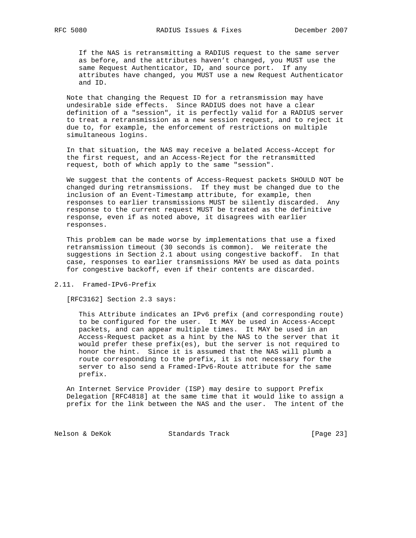If the NAS is retransmitting a RADIUS request to the same server as before, and the attributes haven't changed, you MUST use the same Request Authenticator, ID, and source port. If any attributes have changed, you MUST use a new Request Authenticator and ID.

 Note that changing the Request ID for a retransmission may have undesirable side effects. Since RADIUS does not have a clear definition of a "session", it is perfectly valid for a RADIUS server to treat a retransmission as a new session request, and to reject it due to, for example, the enforcement of restrictions on multiple simultaneous logins.

 In that situation, the NAS may receive a belated Access-Accept for the first request, and an Access-Reject for the retransmitted request, both of which apply to the same "session".

 We suggest that the contents of Access-Request packets SHOULD NOT be changed during retransmissions. If they must be changed due to the inclusion of an Event-Timestamp attribute, for example, then responses to earlier transmissions MUST be silently discarded. Any response to the current request MUST be treated as the definitive response, even if as noted above, it disagrees with earlier responses.

 This problem can be made worse by implementations that use a fixed retransmission timeout (30 seconds is common). We reiterate the suggestions in Section 2.1 about using congestive backoff. In that case, responses to earlier transmissions MAY be used as data points for congestive backoff, even if their contents are discarded.

2.11. Framed-IPv6-Prefix

[RFC3162] Section 2.3 says:

 This Attribute indicates an IPv6 prefix (and corresponding route) to be configured for the user. It MAY be used in Access-Accept packets, and can appear multiple times. It MAY be used in an Access-Request packet as a hint by the NAS to the server that it would prefer these prefix(es), but the server is not required to honor the hint. Since it is assumed that the NAS will plumb a route corresponding to the prefix, it is not necessary for the server to also send a Framed-IPv6-Route attribute for the same prefix.

 An Internet Service Provider (ISP) may desire to support Prefix Delegation [RFC4818] at the same time that it would like to assign a prefix for the link between the NAS and the user. The intent of the

Nelson & DeKok Standards Track [Page 23]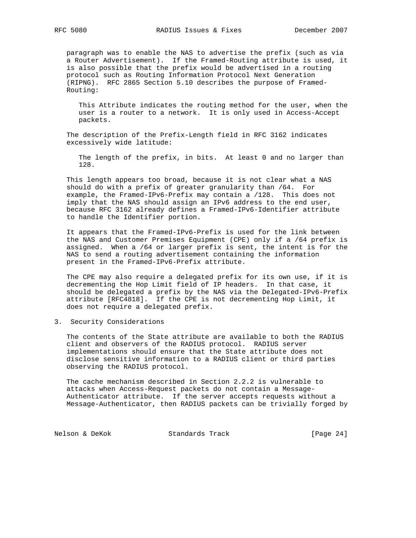paragraph was to enable the NAS to advertise the prefix (such as via a Router Advertisement). If the Framed-Routing attribute is used, it is also possible that the prefix would be advertised in a routing protocol such as Routing Information Protocol Next Generation (RIPNG). RFC 2865 Section 5.10 describes the purpose of Framed- Routing:

 This Attribute indicates the routing method for the user, when the user is a router to a network. It is only used in Access-Accept packets.

 The description of the Prefix-Length field in RFC 3162 indicates excessively wide latitude:

 The length of the prefix, in bits. At least 0 and no larger than 128.

 This length appears too broad, because it is not clear what a NAS should do with a prefix of greater granularity than /64. For example, the Framed-IPv6-Prefix may contain a /128. This does not imply that the NAS should assign an IPv6 address to the end user, because RFC 3162 already defines a Framed-IPv6-Identifier attribute to handle the Identifier portion.

 It appears that the Framed-IPv6-Prefix is used for the link between the NAS and Customer Premises Equipment (CPE) only if a /64 prefix is assigned. When a /64 or larger prefix is sent, the intent is for the NAS to send a routing advertisement containing the information present in the Framed-IPv6-Prefix attribute.

 The CPE may also require a delegated prefix for its own use, if it is decrementing the Hop Limit field of IP headers. In that case, it should be delegated a prefix by the NAS via the Delegated-IPv6-Prefix attribute [RFC4818]. If the CPE is not decrementing Hop Limit, it does not require a delegated prefix.

### 3. Security Considerations

 The contents of the State attribute are available to both the RADIUS client and observers of the RADIUS protocol. RADIUS server implementations should ensure that the State attribute does not disclose sensitive information to a RADIUS client or third parties observing the RADIUS protocol.

 The cache mechanism described in Section 2.2.2 is vulnerable to attacks when Access-Request packets do not contain a Message- Authenticator attribute. If the server accepts requests without a Message-Authenticator, then RADIUS packets can be trivially forged by

Nelson & DeKok Standards Track [Page 24]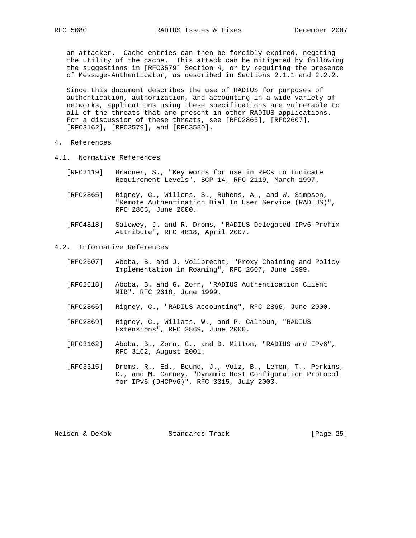an attacker. Cache entries can then be forcibly expired, negating the utility of the cache. This attack can be mitigated by following the suggestions in [RFC3579] Section 4, or by requiring the presence of Message-Authenticator, as described in Sections 2.1.1 and 2.2.2.

 Since this document describes the use of RADIUS for purposes of authentication, authorization, and accounting in a wide variety of networks, applications using these specifications are vulnerable to all of the threats that are present in other RADIUS applications. For a discussion of these threats, see [RFC2865], [RFC2607], [RFC3162], [RFC3579], and [RFC3580].

- 4. References
- 4.1. Normative References
	- [RFC2119] Bradner, S., "Key words for use in RFCs to Indicate Requirement Levels", BCP 14, RFC 2119, March 1997.
	- [RFC2865] Rigney, C., Willens, S., Rubens, A., and W. Simpson, "Remote Authentication Dial In User Service (RADIUS)", RFC 2865, June 2000.
	- [RFC4818] Salowey, J. and R. Droms, "RADIUS Delegated-IPv6-Prefix Attribute", RFC 4818, April 2007.

# 4.2. Informative References

- [RFC2607] Aboba, B. and J. Vollbrecht, "Proxy Chaining and Policy Implementation in Roaming", RFC 2607, June 1999.
- [RFC2618] Aboba, B. and G. Zorn, "RADIUS Authentication Client MIB", RFC 2618, June 1999.
- [RFC2866] Rigney, C., "RADIUS Accounting", RFC 2866, June 2000.
- [RFC2869] Rigney, C., Willats, W., and P. Calhoun, "RADIUS Extensions", RFC 2869, June 2000.
- [RFC3162] Aboba, B., Zorn, G., and D. Mitton, "RADIUS and IPv6", RFC 3162, August 2001.
- [RFC3315] Droms, R., Ed., Bound, J., Volz, B., Lemon, T., Perkins, C., and M. Carney, "Dynamic Host Configuration Protocol for IPv6 (DHCPv6)", RFC 3315, July 2003.

Nelson & DeKok Standards Track [Page 25]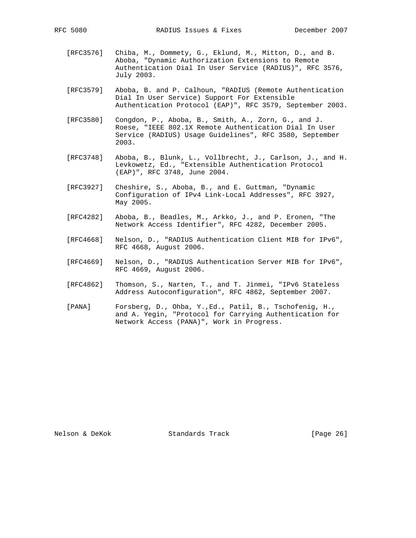- [RFC3576] Chiba, M., Dommety, G., Eklund, M., Mitton, D., and B. Aboba, "Dynamic Authorization Extensions to Remote Authentication Dial In User Service (RADIUS)", RFC 3576, July 2003.
- [RFC3579] Aboba, B. and P. Calhoun, "RADIUS (Remote Authentication Dial In User Service) Support For Extensible Authentication Protocol (EAP)", RFC 3579, September 2003.
- [RFC3580] Congdon, P., Aboba, B., Smith, A., Zorn, G., and J. Roese, "IEEE 802.1X Remote Authentication Dial In User Service (RADIUS) Usage Guidelines", RFC 3580, September 2003.
- [RFC3748] Aboba, B., Blunk, L., Vollbrecht, J., Carlson, J., and H. Levkowetz, Ed., "Extensible Authentication Protocol (EAP)", RFC 3748, June 2004.
- [RFC3927] Cheshire, S., Aboba, B., and E. Guttman, "Dynamic Configuration of IPv4 Link-Local Addresses", RFC 3927, May 2005.
- [RFC4282] Aboba, B., Beadles, M., Arkko, J., and P. Eronen, "The Network Access Identifier", RFC 4282, December 2005.
- [RFC4668] Nelson, D., "RADIUS Authentication Client MIB for IPv6", RFC 4668, August 2006.
- [RFC4669] Nelson, D., "RADIUS Authentication Server MIB for IPv6", RFC 4669, August 2006.
- [RFC4862] Thomson, S., Narten, T., and T. Jinmei, "IPv6 Stateless Address Autoconfiguration", RFC 4862, September 2007.
- [PANA] Forsberg, D., Ohba, Y.,Ed., Patil, B., Tschofenig, H., and A. Yegin, "Protocol for Carrying Authentication for Network Access (PANA)", Work in Progress.

Nelson & DeKok Standards Track [Page 26]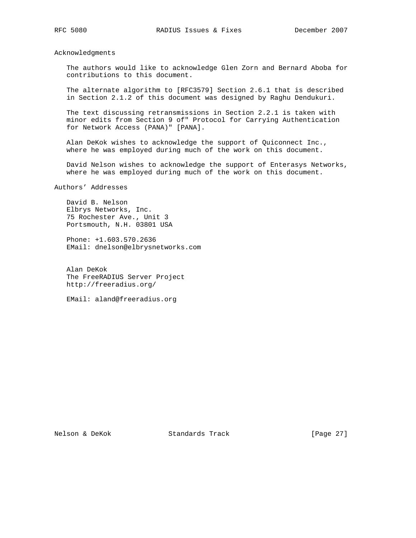Acknowledgments

 The authors would like to acknowledge Glen Zorn and Bernard Aboba for contributions to this document.

 The alternate algorithm to [RFC3579] Section 2.6.1 that is described in Section 2.1.2 of this document was designed by Raghu Dendukuri.

 The text discussing retransmissions in Section 2.2.1 is taken with minor edits from Section 9 of" Protocol for Carrying Authentication for Network Access (PANA)" [PANA].

 Alan DeKok wishes to acknowledge the support of Quiconnect Inc., where he was employed during much of the work on this document.

 David Nelson wishes to acknowledge the support of Enterasys Networks, where he was employed during much of the work on this document.

Authors' Addresses

 David B. Nelson Elbrys Networks, Inc. 75 Rochester Ave., Unit 3 Portsmouth, N.H. 03801 USA

 Phone: +1.603.570.2636 EMail: dnelson@elbrysnetworks.com

 Alan DeKok The FreeRADIUS Server Project http://freeradius.org/

EMail: aland@freeradius.org

Nelson & DeKok Standards Track [Page 27]